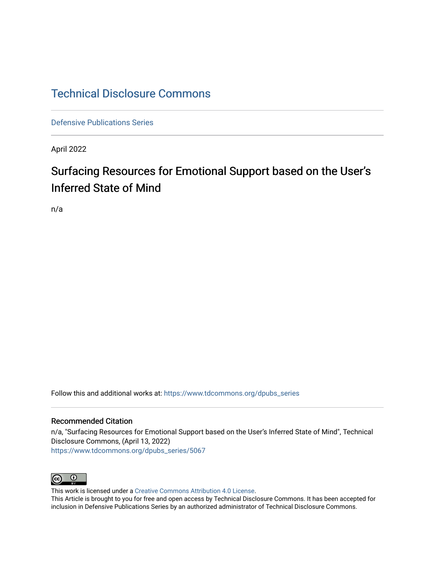## [Technical Disclosure Commons](https://www.tdcommons.org/)

[Defensive Publications Series](https://www.tdcommons.org/dpubs_series)

April 2022

# Surfacing Resources for Emotional Support based on the User's Inferred State of Mind

n/a

Follow this and additional works at: [https://www.tdcommons.org/dpubs\\_series](https://www.tdcommons.org/dpubs_series?utm_source=www.tdcommons.org%2Fdpubs_series%2F5067&utm_medium=PDF&utm_campaign=PDFCoverPages) 

#### Recommended Citation

n/a, "Surfacing Resources for Emotional Support based on the User's Inferred State of Mind", Technical Disclosure Commons, (April 13, 2022) [https://www.tdcommons.org/dpubs\\_series/5067](https://www.tdcommons.org/dpubs_series/5067?utm_source=www.tdcommons.org%2Fdpubs_series%2F5067&utm_medium=PDF&utm_campaign=PDFCoverPages)



This work is licensed under a [Creative Commons Attribution 4.0 License](http://creativecommons.org/licenses/by/4.0/deed.en_US).

This Article is brought to you for free and open access by Technical Disclosure Commons. It has been accepted for inclusion in Defensive Publications Series by an authorized administrator of Technical Disclosure Commons.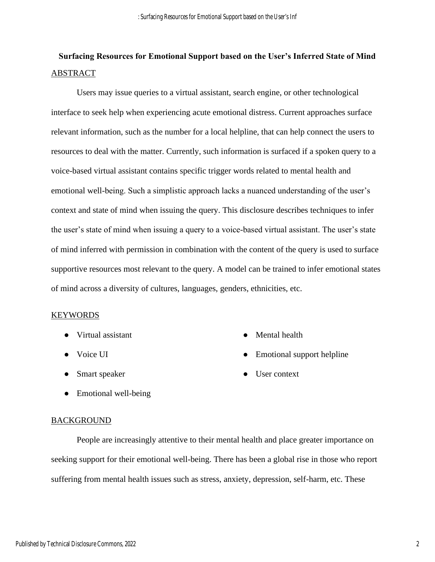## **Surfacing Resources for Emotional Support based on the User's Inferred State of Mind** ABSTRACT

Users may issue queries to a virtual assistant, search engine, or other technological interface to seek help when experiencing acute emotional distress. Current approaches surface relevant information, such as the number for a local helpline, that can help connect the users to resources to deal with the matter. Currently, such information is surfaced if a spoken query to a voice-based virtual assistant contains specific trigger words related to mental health and emotional well-being. Such a simplistic approach lacks a nuanced understanding of the user's context and state of mind when issuing the query. This disclosure describes techniques to infer the user's state of mind when issuing a query to a voice-based virtual assistant. The user's state of mind inferred with permission in combination with the content of the query is used to surface supportive resources most relevant to the query. A model can be trained to infer emotional states of mind across a diversity of cultures, languages, genders, ethnicities, etc.

#### KEYWORDS

- Virtual assistant
- Voice UI
- Smart speaker
- Emotional well-being

#### **BACKGROUND**

People are increasingly attentive to their mental health and place greater importance on seeking support for their emotional well-being. There has been a global rise in those who report suffering from mental health issues such as stress, anxiety, depression, self-harm, etc. These

- Mental health
- Emotional support helpline
- User context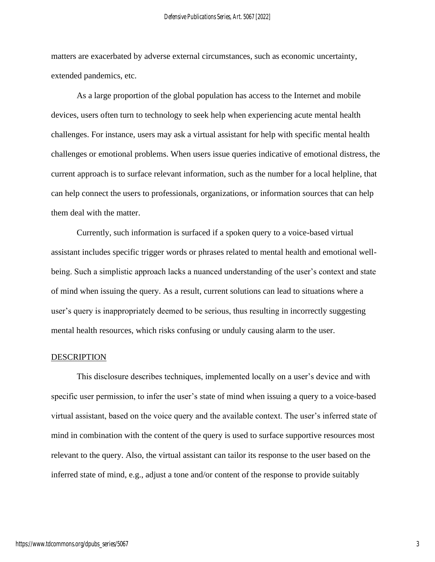matters are exacerbated by adverse external circumstances, such as economic uncertainty, extended pandemics, etc.

As a large proportion of the global population has access to the Internet and mobile devices, users often turn to technology to seek help when experiencing acute mental health challenges. For instance, users may ask a virtual assistant for help with specific mental health challenges or emotional problems. When users issue queries indicative of emotional distress, the current approach is to surface relevant information, such as the number for a local helpline, that can help connect the users to professionals, organizations, or information sources that can help them deal with the matter.

Currently, such information is surfaced if a spoken query to a voice-based virtual assistant includes specific trigger words or phrases related to mental health and emotional wellbeing. Such a simplistic approach lacks a nuanced understanding of the user's context and state of mind when issuing the query. As a result, current solutions can lead to situations where a user's query is inappropriately deemed to be serious, thus resulting in incorrectly suggesting mental health resources, which risks confusing or unduly causing alarm to the user.

#### DESCRIPTION

This disclosure describes techniques, implemented locally on a user's device and with specific user permission, to infer the user's state of mind when issuing a query to a voice-based virtual assistant, based on the voice query and the available context. The user's inferred state of mind in combination with the content of the query is used to surface supportive resources most relevant to the query. Also, the virtual assistant can tailor its response to the user based on the inferred state of mind, e.g., adjust a tone and/or content of the response to provide suitably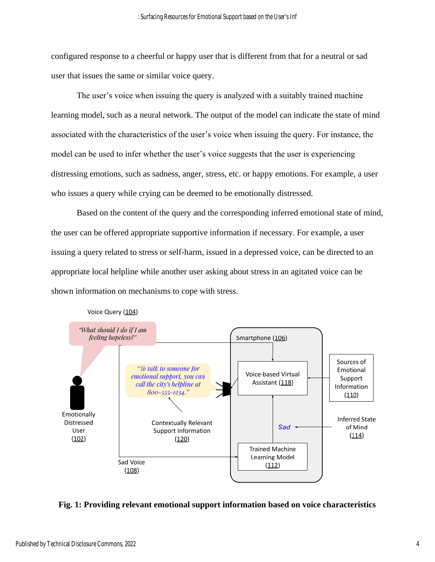configured response to a cheerful or happy user that is different from that for a neutral or sad user that issues the same or similar voice query.

The user's voice when issuing the query is analyzed with a suitably trained machine learning model, such as a neural network. The output of the model can indicate the state of mind associated with the characteristics of the user's voice when issuing the query. For instance, the model can be used to infer whether the user's voice suggests that the user is experiencing distressing emotions, such as sadness, anger, stress, etc. or happy emotions. For example, a user who issues a query while crying can be deemed to be emotionally distressed.

Based on the content of the query and the corresponding inferred emotional state of mind, the user can be offered appropriate supportive information if necessary. For example, a user issuing a query related to stress or self-harm, issued in a depressed voice, can be directed to an appropriate local helpline while another user asking about stress in an agitated voice can be shown information on mechanisms to cope with stress.



Voice Query (104)

### **Fig. 1: Providing relevant emotional support information based on voice characteristics**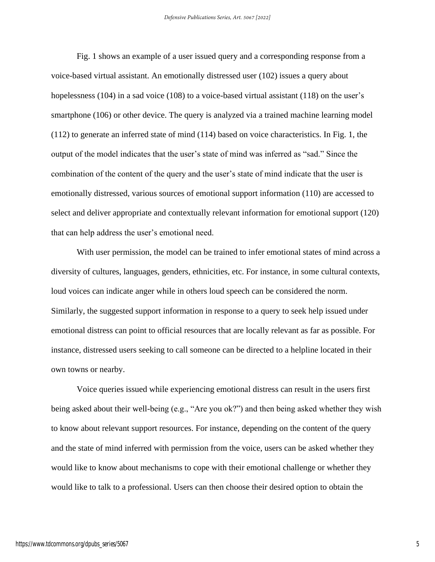Fig. 1 shows an example of a user issued query and a corresponding response from a voice-based virtual assistant. An emotionally distressed user (102) issues a query about hopelessness (104) in a sad voice (108) to a voice-based virtual assistant (118) on the user's smartphone (106) or other device. The query is analyzed via a trained machine learning model (112) to generate an inferred state of mind (114) based on voice characteristics. In Fig. 1, the output of the model indicates that the user's state of mind was inferred as "sad." Since the combination of the content of the query and the user's state of mind indicate that the user is emotionally distressed, various sources of emotional support information (110) are accessed to select and deliver appropriate and contextually relevant information for emotional support (120) that can help address the user's emotional need.

With user permission, the model can be trained to infer emotional states of mind across a diversity of cultures, languages, genders, ethnicities, etc. For instance, in some cultural contexts, loud voices can indicate anger while in others loud speech can be considered the norm. Similarly, the suggested support information in response to a query to seek help issued under emotional distress can point to official resources that are locally relevant as far as possible. For instance, distressed users seeking to call someone can be directed to a helpline located in their own towns or nearby.

Voice queries issued while experiencing emotional distress can result in the users first being asked about their well-being (e.g., "Are you ok?") and then being asked whether they wish to know about relevant support resources. For instance, depending on the content of the query and the state of mind inferred with permission from the voice, users can be asked whether they would like to know about mechanisms to cope with their emotional challenge or whether they would like to talk to a professional. Users can then choose their desired option to obtain the